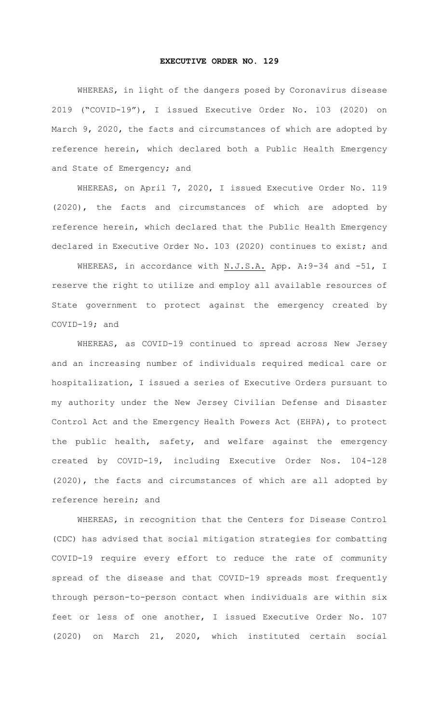## **EXECUTIVE ORDER NO. 129**

WHEREAS, in light of the dangers posed by Coronavirus disease 2019 ("COVID-19"), I issued Executive Order No. 103 (2020) on March 9, 2020, the facts and circumstances of which are adopted by reference herein, which declared both a Public Health Emergency and State of Emergency; and

WHEREAS, on April 7, 2020, I issued Executive Order No. 119 (2020), the facts and circumstances of which are adopted by reference herein, which declared that the Public Health Emergency declared in Executive Order No. 103 (2020) continues to exist; and

WHEREAS, in accordance with N.J.S.A. App. A: 9-34 and -51, I reserve the right to utilize and employ all available resources of State government to protect against the emergency created by COVID-19; and

WHEREAS, as COVID-19 continued to spread across New Jersey and an increasing number of individuals required medical care or hospitalization, I issued a series of Executive Orders pursuant to my authority under the New Jersey Civilian Defense and Disaster Control Act and the Emergency Health Powers Act (EHPA), to protect the public health, safety, and welfare against the emergency created by COVID-19, including Executive Order Nos. 104-128 (2020), the facts and circumstances of which are all adopted by reference herein; and

WHEREAS, in recognition that the Centers for Disease Control (CDC) has advised that social mitigation strategies for combatting COVID-19 require every effort to reduce the rate of community spread of the disease and that COVID-19 spreads most frequently through person-to-person contact when individuals are within six feet or less of one another, I issued Executive Order No. 107 (2020) on March 21, 2020, which instituted certain social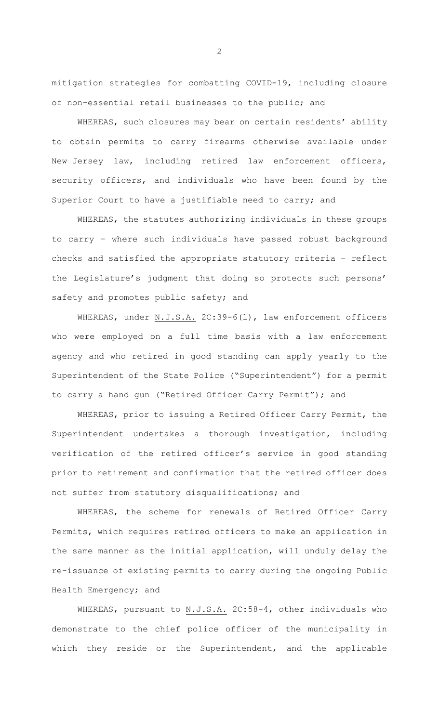mitigation strategies for combatting COVID-19, including closure of non-essential retail businesses to the public; and

WHEREAS, such closures may bear on certain residents' ability to obtain permits to carry firearms otherwise available under New Jersey law, including retired law enforcement officers, security officers, and individuals who have been found by the Superior Court to have a justifiable need to carry; and

WHEREAS, the statutes authorizing individuals in these groups to carry – where such individuals have passed robust background checks and satisfied the appropriate statutory criteria – reflect the Legislature's judgment that doing so protects such persons' safety and promotes public safety; and

WHEREAS, under N.J.S.A. 2C:39-6(1), law enforcement officers who were employed on a full time basis with a law enforcement agency and who retired in good standing can apply yearly to the Superintendent of the State Police ("Superintendent") for a permit to carry a hand gun ("Retired Officer Carry Permit"); and

WHEREAS, prior to issuing a Retired Officer Carry Permit, the Superintendent undertakes a thorough investigation, including verification of the retired officer's service in good standing prior to retirement and confirmation that the retired officer does not suffer from statutory disqualifications; and

WHEREAS, the scheme for renewals of Retired Officer Carry Permits, which requires retired officers to make an application in the same manner as the initial application, will unduly delay the re-issuance of existing permits to carry during the ongoing Public Health Emergency; and

WHEREAS, pursuant to N.J.S.A. 2C:58-4, other individuals who demonstrate to the chief police officer of the municipality in which they reside or the Superintendent, and the applicable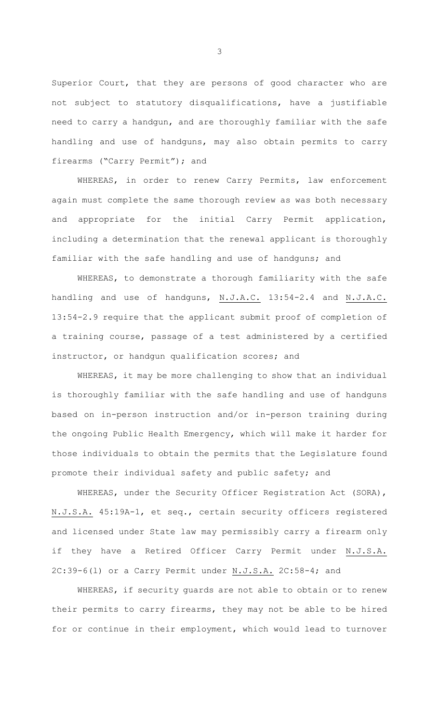Superior Court, that they are persons of good character who are not subject to statutory disqualifications, have a justifiable need to carry a handgun, and are thoroughly familiar with the safe handling and use of handguns, may also obtain permits to carry firearms ("Carry Permit"); and

WHEREAS, in order to renew Carry Permits, law enforcement again must complete the same thorough review as was both necessary and appropriate for the initial Carry Permit application, including a determination that the renewal applicant is thoroughly familiar with the safe handling and use of handguns; and

WHEREAS, to demonstrate a thorough familiarity with the safe handling and use of handguns, N.J.A.C. 13:54-2.4 and N.J.A.C. 13:54-2.9 require that the applicant submit proof of completion of a training course, passage of a test administered by a certified instructor, or handgun qualification scores; and

WHEREAS, it may be more challenging to show that an individual is thoroughly familiar with the safe handling and use of handguns based on in-person instruction and/or in-person training during the ongoing Public Health Emergency, which will make it harder for those individuals to obtain the permits that the Legislature found promote their individual safety and public safety; and

WHEREAS, under the Security Officer Registration Act (SORA), N.J.S.A. 45:19A-1, et seq., certain security officers registered and licensed under State law may permissibly carry a firearm only if they have a Retired Officer Carry Permit under N.J.S.A. 2C:39-6(l) or a Carry Permit under N.J.S.A. 2C:58-4; and

WHEREAS, if security guards are not able to obtain or to renew their permits to carry firearms, they may not be able to be hired for or continue in their employment, which would lead to turnover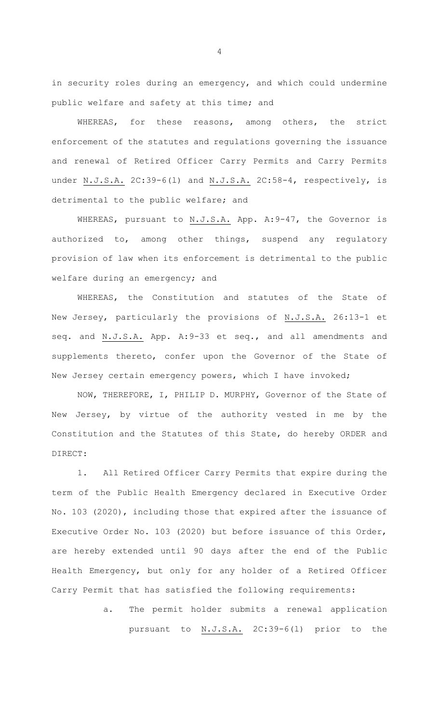in security roles during an emergency, and which could undermine public welfare and safety at this time; and

WHEREAS, for these reasons, among others, the strict enforcement of the statutes and regulations governing the issuance and renewal of Retired Officer Carry Permits and Carry Permits under N.J.S.A. 2C:39-6(l) and N.J.S.A. 2C:58-4, respectively, is detrimental to the public welfare; and

WHEREAS, pursuant to N.J.S.A. App. A: 9-47, the Governor is authorized to, among other things, suspend any regulatory provision of law when its enforcement is detrimental to the public welfare during an emergency; and

WHEREAS, the Constitution and statutes of the State of New Jersey, particularly the provisions of N.J.S.A. 26:13-1 et seq. and N.J.S.A. App. A:9-33 et seq., and all amendments and supplements thereto, confer upon the Governor of the State of New Jersey certain emergency powers, which I have invoked;

NOW, THEREFORE, I, PHILIP D. MURPHY, Governor of the State of New Jersey, by virtue of the authority vested in me by the Constitution and the Statutes of this State, do hereby ORDER and DIRECT:

1. All Retired Officer Carry Permits that expire during the term of the Public Health Emergency declared in Executive Order No. 103 (2020), including those that expired after the issuance of Executive Order No. 103 (2020) but before issuance of this Order, are hereby extended until 90 days after the end of the Public Health Emergency, but only for any holder of a Retired Officer Carry Permit that has satisfied the following requirements:

> a. The permit holder submits a renewal application pursuant to N.J.S.A. 2C:39-6(1) prior to the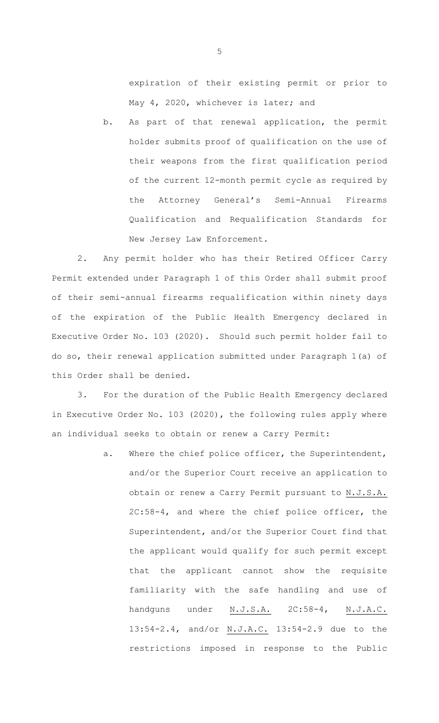expiration of their existing permit or prior to May 4, 2020, whichever is later; and

b. As part of that renewal application, the permit holder submits proof of qualification on the use of their weapons from the first qualification period of the current 12-month permit cycle as required by the Attorney General's Semi-Annual Firearms Qualification and Requalification Standards for New Jersey Law Enforcement.

2. Any permit holder who has their Retired Officer Carry Permit extended under Paragraph 1 of this Order shall submit proof of their semi-annual firearms requalification within ninety days of the expiration of the Public Health Emergency declared in Executive Order No. 103 (2020). Should such permit holder fail to do so, their renewal application submitted under Paragraph 1(a) of this Order shall be denied.

3. For the duration of the Public Health Emergency declared in Executive Order No. 103 (2020), the following rules apply where an individual seeks to obtain or renew a Carry Permit:

> a. Where the chief police officer, the Superintendent, and/or the Superior Court receive an application to obtain or renew a Carry Permit pursuant to N.J.S.A. 2C:58-4, and where the chief police officer, the Superintendent, and/or the Superior Court find that the applicant would qualify for such permit except that the applicant cannot show the requisite familiarity with the safe handling and use of handguns under N.J.S.A. 2C:58-4, N.J.A.C. 13:54-2.4, and/or N.J.A.C. 13:54-2.9 due to the restrictions imposed in response to the Public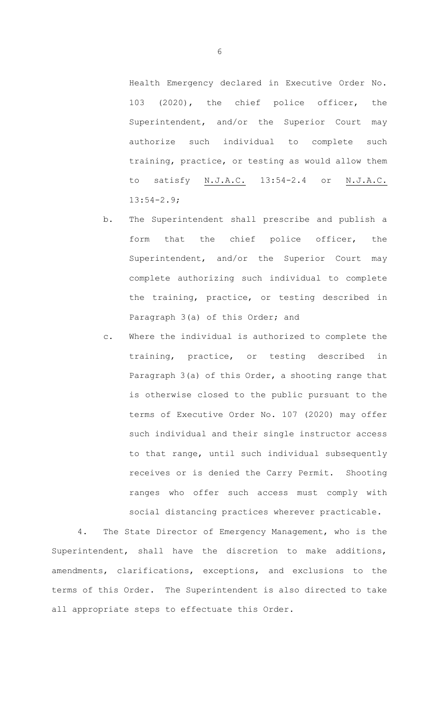Health Emergency declared in Executive Order No. 103 (2020), the chief police officer, the Superintendent, and/or the Superior Court may authorize such individual to complete such training, practice, or testing as would allow them to satisfy N.J.A.C. 13:54-2.4 or N.J.A.C. 13:54-2.9;

- b. The Superintendent shall prescribe and publish a form that the chief police officer, the Superintendent, and/or the Superior Court may complete authorizing such individual to complete the training, practice, or testing described in Paragraph 3(a) of this Order; and
- c. Where the individual is authorized to complete the training, practice, or testing described in Paragraph 3(a) of this Order, a shooting range that is otherwise closed to the public pursuant to the terms of Executive Order No. 107 (2020) may offer such individual and their single instructor access to that range, until such individual subsequently receives or is denied the Carry Permit. Shooting ranges who offer such access must comply with social distancing practices wherever practicable.

4. The State Director of Emergency Management, who is the Superintendent, shall have the discretion to make additions, amendments, clarifications, exceptions, and exclusions to the terms of this Order. The Superintendent is also directed to take all appropriate steps to effectuate this Order.